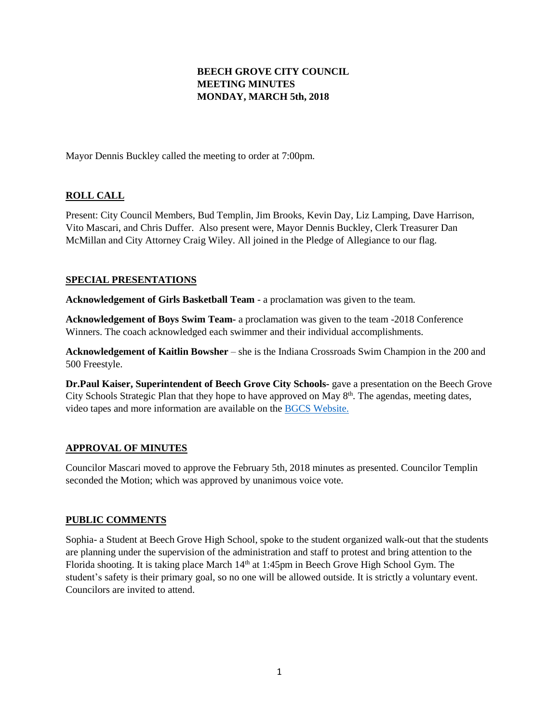# **BEECH GROVE CITY COUNCIL MEETING MINUTES MONDAY, MARCH 5th, 2018**

Mayor Dennis Buckley called the meeting to order at 7:00pm.

# **ROLL CALL**

Present: City Council Members, Bud Templin, Jim Brooks, Kevin Day, Liz Lamping, Dave Harrison, Vito Mascari, and Chris Duffer. Also present were, Mayor Dennis Buckley, Clerk Treasurer Dan McMillan and City Attorney Craig Wiley. All joined in the Pledge of Allegiance to our flag.

## **SPECIAL PRESENTATIONS**

**Acknowledgement of Girls Basketball Team** - a proclamation was given to the team.

**Acknowledgement of Boys Swim Team-** a proclamation was given to the team -2018 Conference Winners. The coach acknowledged each swimmer and their individual accomplishments.

**Acknowledgement of Kaitlin Bowsher** – she is the Indiana Crossroads Swim Champion in the 200 and 500 Freestyle.

**Dr.Paul Kaiser, Superintendent of Beech Grove City Schools-** gave a presentation on the Beech Grove City Schools Strategic Plan that they hope to have approved on May 8<sup>th</sup>. The agendas, meeting dates, video tapes and more information are available on the [BGCS Website.](http://www.bgcs.k12.in.us/)

# **APPROVAL OF MINUTES**

Councilor Mascari moved to approve the February 5th, 2018 minutes as presented. Councilor Templin seconded the Motion; which was approved by unanimous voice vote.

# **PUBLIC COMMENTS**

Sophia- a Student at Beech Grove High School, spoke to the student organized walk-out that the students are planning under the supervision of the administration and staff to protest and bring attention to the Florida shooting. It is taking place March 14<sup>th</sup> at 1:45pm in Beech Grove High School Gym. The student's safety is their primary goal, so no one will be allowed outside. It is strictly a voluntary event. Councilors are invited to attend.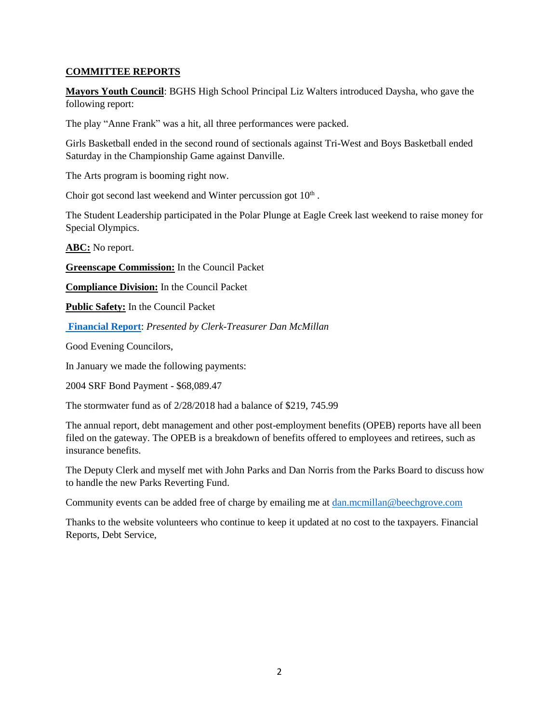## **COMMITTEE REPORTS**

**Mayors Youth Council**: BGHS High School Principal Liz Walters introduced Daysha, who gave the following report:

The play "Anne Frank" was a hit, all three performances were packed.

Girls Basketball ended in the second round of sectionals against Tri-West and Boys Basketball ended Saturday in the Championship Game against Danville.

The Arts program is booming right now.

Choir got second last weekend and Winter percussion got  $10<sup>th</sup>$ .

The Student Leadership participated in the Polar Plunge at Eagle Creek last weekend to raise money for Special Olympics.

**ABC:** No report.

**Greenscape Commission:** In the Council Packet

**Compliance Division:** In the Council Packet

**Public Safety:** In the Council Packet

**[Financial](http://www.beechgrove.com/uploads/1/0/1/2/10129925/march_2018_financial_report.pdf) Report**: *Presented by Clerk-Treasurer Dan McMillan*

Good Evening Councilors,

In January we made the following payments:

2004 SRF Bond Payment - \$68,089.47

The stormwater fund as of 2/28/2018 had a balance of \$219, 745.99

The annual report, debt management and other post-employment benefits (OPEB) reports have all been filed on the gateway. The OPEB is a breakdown of benefits offered to employees and retirees, such as insurance benefits.

The Deputy Clerk and myself met with John Parks and Dan Norris from the Parks Board to discuss how to handle the new Parks Reverting Fund.

Community events can be added free of charge by emailing me at [dan.mcmillan@beechgrove.com](mailto:dan.mcmillan@beechgrove.com)

Thanks to the website volunteers who continue to keep it updated at no cost to the taxpayers. Financial Reports, Debt Service,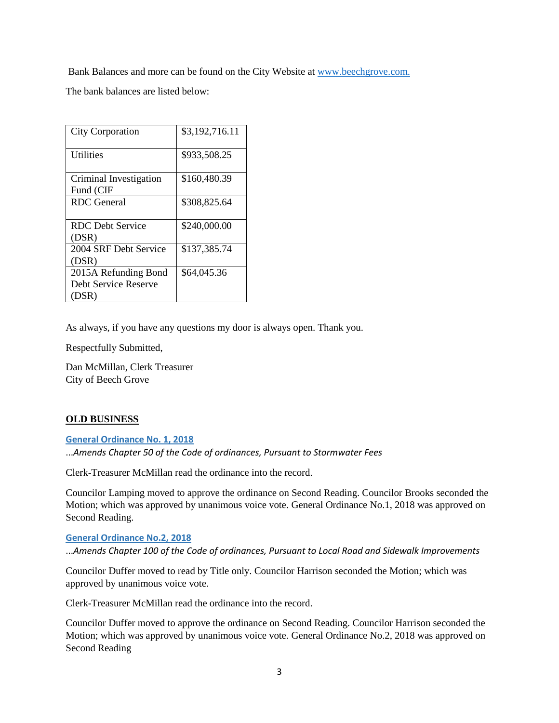Bank Balances and more can be found on the City Website at [www.beechgrove.com.](file:///C:/Users/dan/Documents/www.beechgrove.com)

The bank balances are listed below:

| <b>City Corporation</b> | \$3,192,716.11 |
|-------------------------|----------------|
| <b>Utilities</b>        | \$933,508.25   |
| Criminal Investigation  | \$160,480.39   |
| Fund (CIF               |                |
| <b>RDC</b> General      | \$308,825.64   |
|                         |                |
| <b>RDC</b> Debt Service | \$240,000.00   |
| (DSR)                   |                |
| 2004 SRF Debt Service   | \$137,385.74   |
| (DSR)                   |                |
| 2015A Refunding Bond    | \$64,045.36    |
| Debt Service Reserve    |                |
| (DSR)                   |                |

As always, if you have any questions my door is always open. Thank you.

Respectfully Submitted,

Dan McMillan, Clerk Treasurer City of Beech Grove

### **OLD BUSINESS**

**[General Ordinance No. 1, 2018](http://www.beechgrove.com/uploads/1/0/1/2/10129925/genera_ordinance_no.1_2018_amends_chapter_50_sewer_fees.pdf)**

...*Amends Chapter 50 of the Code of ordinances, Pursuant to Stormwater Fees*

Clerk-Treasurer McMillan read the ordinance into the record.

Councilor Lamping moved to approve the ordinance on Second Reading. Councilor Brooks seconded the Motion; which was approved by unanimous voice vote. General Ordinance No.1, 2018 was approved on Second Reading.

#### **[General Ordinance No.2, 2018](http://www.beechgrove.com/uploads/1/0/1/2/10129925/general_ordinance_no.2_2018_amend_chapter_100.pdf)**

...*Amends Chapter 100 of the Code of ordinances, Pursuant to Local Road and Sidewalk Improvements*

Councilor Duffer moved to read by Title only. Councilor Harrison seconded the Motion; which was approved by unanimous voice vote.

Clerk-Treasurer McMillan read the ordinance into the record.

Councilor Duffer moved to approve the ordinance on Second Reading. Councilor Harrison seconded the Motion; which was approved by unanimous voice vote. General Ordinance No.2, 2018 was approved on Second Reading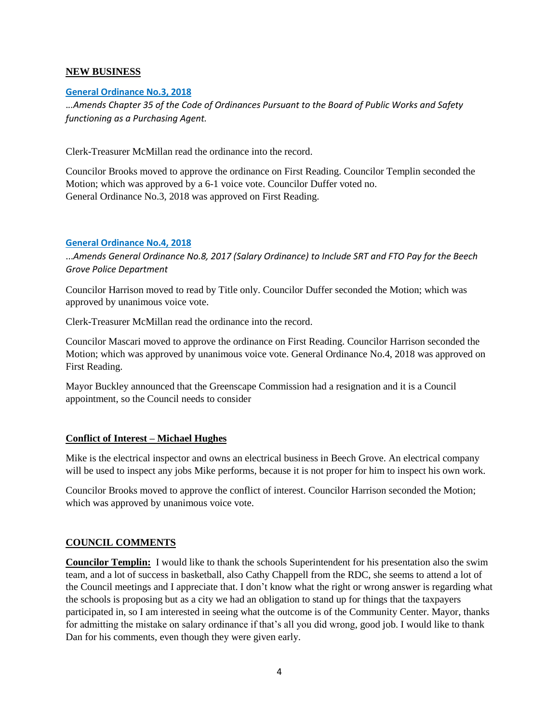### **NEW BUSINESS**

## **[General Ordinance No.3, 2018](http://www.beechgrove.com/uploads/1/0/1/2/10129925/general_ordinance_3_2018.pdf)**

.*..Amends Chapter 35 of the Code of Ordinances Pursuant to the Board of Public Works and Safety functioning as a Purchasing Agent.*

Clerk-Treasurer McMillan read the ordinance into the record.

Councilor Brooks moved to approve the ordinance on First Reading. Councilor Templin seconded the Motion; which was approved by a 6-1 voice vote. Councilor Duffer voted no. General Ordinance No.3, 2018 was approved on First Reading.

## **[General Ordinance No.4, 2018](http://www.beechgrove.com/uploads/1/0/1/2/10129925/general_ordinance_4_2018.pdf)**

...*Amends General Ordinance No.8, 2017 (Salary Ordinance) to Include SRT and FTO Pay for the Beech Grove Police Department*

Councilor Harrison moved to read by Title only. Councilor Duffer seconded the Motion; which was approved by unanimous voice vote.

Clerk-Treasurer McMillan read the ordinance into the record.

Councilor Mascari moved to approve the ordinance on First Reading. Councilor Harrison seconded the Motion; which was approved by unanimous voice vote. General Ordinance No.4, 2018 was approved on First Reading.

Mayor Buckley announced that the Greenscape Commission had a resignation and it is a Council appointment, so the Council needs to consider

# **Conflict of Interest – Michael Hughes**

Mike is the electrical inspector and owns an electrical business in Beech Grove. An electrical company will be used to inspect any jobs Mike performs, because it is not proper for him to inspect his own work.

Councilor Brooks moved to approve the conflict of interest. Councilor Harrison seconded the Motion; which was approved by unanimous voice vote.

# **COUNCIL COMMENTS**

**Councilor Templin:** I would like to thank the schools Superintendent for his presentation also the swim team, and a lot of success in basketball, also Cathy Chappell from the RDC, she seems to attend a lot of the Council meetings and I appreciate that. I don't know what the right or wrong answer is regarding what the schools is proposing but as a city we had an obligation to stand up for things that the taxpayers participated in, so I am interested in seeing what the outcome is of the Community Center. Mayor, thanks for admitting the mistake on salary ordinance if that's all you did wrong, good job. I would like to thank Dan for his comments, even though they were given early.